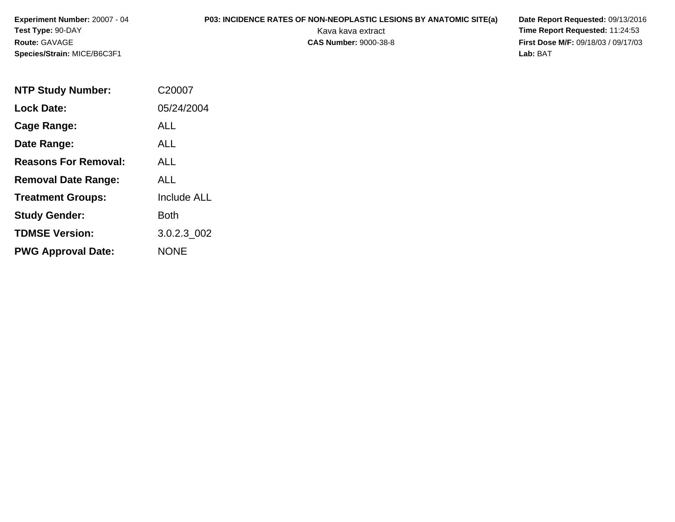**Experiment Number:** 20007 - 04**Test Type:** 90-DAY**Route:** GAVAGE**Species/Strain:** MICE/B6C3F1

## **P03: INCIDENCE RATES OF NON-NEOPLASTIC LESIONS BY ANATOMIC SITE(a) Date Report Requested: 09/13/2016<br>Kava kava extract <b>Time Report Requested: 11:24:53**

Kava kava extract **Time Report Requested:** 11:24:53<br>**CAS Number:** 9000-38-8 **Time Report Requested:** 11:24:53 **First Dose M/F:** 09/18/03 / 09/17/03<br>Lab: BAT **Lab:** BAT

| <b>NTP Study Number:</b>    | C20007             |
|-----------------------------|--------------------|
| <b>Lock Date:</b>           | 05/24/2004         |
| Cage Range:                 | ALL                |
| Date Range:                 | AI I               |
| <b>Reasons For Removal:</b> | ALL                |
| <b>Removal Date Range:</b>  | ALL                |
| <b>Treatment Groups:</b>    | <b>Include ALL</b> |
| <b>Study Gender:</b>        | Both               |
| <b>TDMSE Version:</b>       | 3.0.2.3 002        |
| <b>PWG Approval Date:</b>   | NONE               |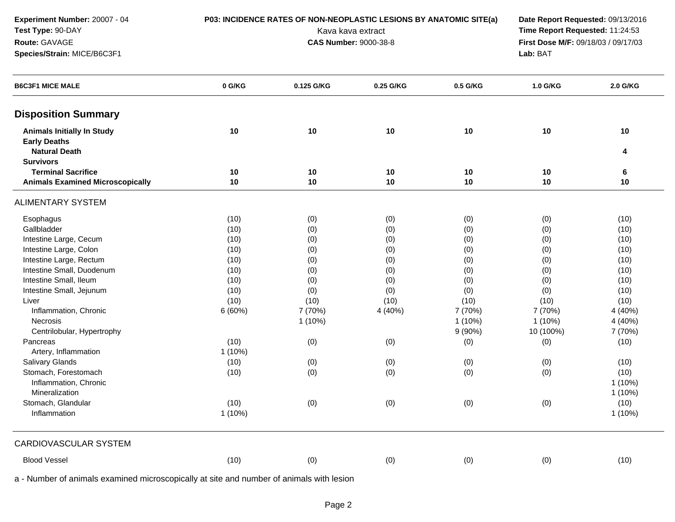| Experiment Number: 20007 - 04                                                            |          | P03: INCIDENCE RATES OF NON-NEOPLASTIC LESIONS BY ANATOMIC SITE(a) | Date Report Requested: 09/13/2016 |           |                                     |           |
|------------------------------------------------------------------------------------------|----------|--------------------------------------------------------------------|-----------------------------------|-----------|-------------------------------------|-----------|
| Test Type: 90-DAY                                                                        |          | Kava kava extract                                                  | Time Report Requested: 11:24:53   |           |                                     |           |
| Route: GAVAGE                                                                            |          | <b>CAS Number: 9000-38-8</b>                                       |                                   |           | First Dose M/F: 09/18/03 / 09/17/03 |           |
| Species/Strain: MICE/B6C3F1                                                              | Lab: BAT |                                                                    |                                   |           |                                     |           |
| <b>B6C3F1 MICE MALE</b>                                                                  | 0 G/KG   | 0.125 G/KG                                                         | 0.25 G/KG                         | 0.5 G/KG  | 1.0 G/KG                            | 2.0 G/KG  |
| <b>Disposition Summary</b>                                                               |          |                                                                    |                                   |           |                                     |           |
| <b>Animals Initially In Study</b><br><b>Early Deaths</b><br><b>Natural Death</b>         | 10       | 10                                                                 | 10                                | 10        | 10                                  | 10<br>4   |
| <b>Survivors</b>                                                                         |          |                                                                    |                                   |           |                                     |           |
| <b>Terminal Sacrifice</b>                                                                | 10       | 10                                                                 | 10                                | 10        | 10                                  | 6         |
| <b>Animals Examined Microscopically</b>                                                  | 10       | 10                                                                 | 10                                | 10        | 10                                  | 10        |
| <b>ALIMENTARY SYSTEM</b>                                                                 |          |                                                                    |                                   |           |                                     |           |
| Esophagus                                                                                | (10)     | (0)                                                                | (0)                               | (0)       | (0)                                 | (10)      |
| Gallbladder                                                                              | (10)     | (0)                                                                | (0)                               | (0)       | (0)                                 | (10)      |
| Intestine Large, Cecum                                                                   | (10)     | (0)                                                                | (0)                               | (0)       | (0)                                 | (10)      |
| Intestine Large, Colon                                                                   | (10)     | (0)                                                                | (0)                               | (0)       | (0)                                 | (10)      |
| Intestine Large, Rectum                                                                  | (10)     | (0)                                                                | (0)                               | (0)       | (0)                                 | (10)      |
| Intestine Small, Duodenum                                                                | (10)     | (0)                                                                | (0)                               | (0)       | (0)                                 | (10)      |
| Intestine Small, Ileum                                                                   | (10)     | (0)                                                                | (0)                               | (0)       | (0)                                 | (10)      |
| Intestine Small, Jejunum                                                                 | (10)     | (0)                                                                | (0)                               | (0)       | (0)                                 | (10)      |
| Liver                                                                                    | (10)     | (10)                                                               | (10)                              | (10)      | (10)                                | (10)      |
| Inflammation, Chronic                                                                    | 6(60%)   | 7 (70%)                                                            | 4 (40%)                           | 7 (70%)   | 7 (70%)                             | 4 (40%)   |
| Necrosis                                                                                 |          | $1(10\%)$                                                          |                                   | $1(10\%)$ | $1(10\%)$                           | 4 (40%)   |
| Centrilobular, Hypertrophy                                                               |          |                                                                    |                                   | 9(90%)    | 10 (100%)                           | 7 (70%)   |
| Pancreas                                                                                 | (10)     | (0)                                                                | (0)                               | (0)       | (0)                                 | (10)      |
| Artery, Inflammation                                                                     | 1(10%)   |                                                                    |                                   |           |                                     |           |
| <b>Salivary Glands</b>                                                                   | (10)     | (0)                                                                | (0)                               | (0)       | (0)                                 | (10)      |
| Stomach, Forestomach                                                                     | (10)     | (0)                                                                | (0)                               | (0)       | (0)                                 | (10)      |
| Inflammation, Chronic                                                                    |          |                                                                    |                                   |           |                                     | 1(10%)    |
| Mineralization                                                                           |          |                                                                    |                                   |           |                                     | $1(10\%)$ |
| Stomach, Glandular                                                                       | (10)     | (0)                                                                | (0)                               | (0)       | (0)                                 | (10)      |
| Inflammation                                                                             | 1(10%)   |                                                                    |                                   |           |                                     | 1 (10%)   |
| CARDIOVASCULAR SYSTEM                                                                    |          |                                                                    |                                   |           |                                     |           |
| <b>Blood Vessel</b>                                                                      | (10)     | (0)                                                                | (0)                               | (0)       | (0)                                 | (10)      |
| a - Number of animals examined microscopically at site and number of animals with lesion |          |                                                                    |                                   |           |                                     |           |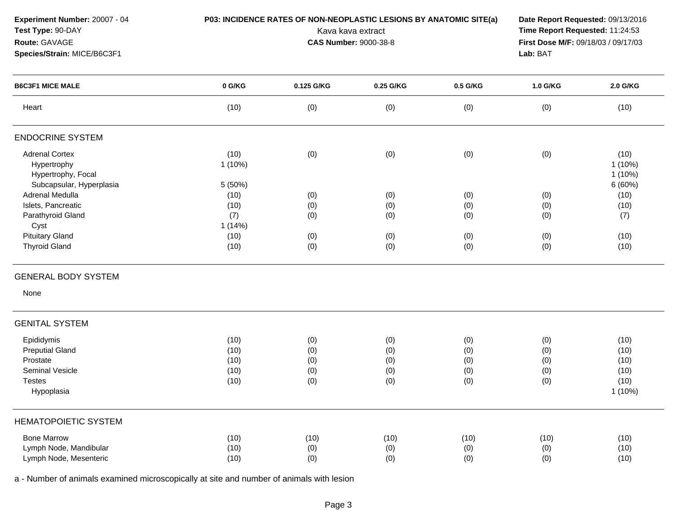| Experiment Number: 20007 - 04<br>Test Type: 90-DAY<br>Route: GAVAGE<br>Species/Strain: MICE/B6C3F1 | P03: INCIDENCE RATES OF NON-NEOPLASTIC LESIONS BY ANATOMIC SITE(a) | Date Report Requested: 09/13/2016<br>Time Report Requested: 11:24:53<br>First Dose M/F: 09/18/03 / 09/17/03<br>Lab: BAT |           |          |          |                                          |
|----------------------------------------------------------------------------------------------------|--------------------------------------------------------------------|-------------------------------------------------------------------------------------------------------------------------|-----------|----------|----------|------------------------------------------|
| <b>B6C3F1 MICE MALE</b>                                                                            | 0 G/KG                                                             | 0.125 G/KG                                                                                                              | 0.25 G/KG | 0.5 G/KG | 1.0 G/KG | 2.0 G/KG                                 |
| Heart                                                                                              | (10)                                                               | (0)                                                                                                                     | (0)       | (0)      | (0)      | (10)                                     |
| <b>ENDOCRINE SYSTEM</b>                                                                            |                                                                    |                                                                                                                         |           |          |          |                                          |
| <b>Adrenal Cortex</b><br>Hypertrophy<br>Hypertrophy, Focal<br>Subcapsular, Hyperplasia             | (10)<br>$1(10\%)$<br>5 (50%)                                       | (0)                                                                                                                     | (0)       | (0)      | (0)      | (10)<br>$1(10\%)$<br>$1(10\%)$<br>6(60%) |
| Adrenal Medulla                                                                                    | (10)                                                               | (0)                                                                                                                     | (0)       | (0)      | (0)      | (10)                                     |
| Islets, Pancreatic                                                                                 | (10)                                                               | (0)                                                                                                                     | (0)       | (0)      | (0)      | (10)                                     |
| Parathyroid Gland                                                                                  | (7)                                                                | (0)                                                                                                                     | (0)       | (0)      | (0)      | (7)                                      |
| Cyst                                                                                               | 1(14%)                                                             |                                                                                                                         |           |          |          |                                          |
| <b>Pituitary Gland</b>                                                                             | (10)                                                               | (0)                                                                                                                     | (0)       | (0)      | (0)      | (10)                                     |
| <b>Thyroid Gland</b>                                                                               | (10)                                                               | (0)                                                                                                                     | (0)       | (0)      | (0)      | (10)                                     |
| <b>GENERAL BODY SYSTEM</b>                                                                         |                                                                    |                                                                                                                         |           |          |          |                                          |
| None                                                                                               |                                                                    |                                                                                                                         |           |          |          |                                          |
| <b>GENITAL SYSTEM</b>                                                                              |                                                                    |                                                                                                                         |           |          |          |                                          |
| Epididymis                                                                                         | (10)                                                               | (0)                                                                                                                     | (0)       | (0)      | (0)      | (10)                                     |
| <b>Preputial Gland</b>                                                                             | (10)                                                               | (0)                                                                                                                     | (0)       | (0)      | (0)      | (10)                                     |
| Prostate                                                                                           | (10)                                                               | (0)                                                                                                                     | (0)       | (0)      | (0)      | (10)                                     |
| Seminal Vesicle                                                                                    | (10)                                                               | (0)                                                                                                                     | (0)       | (0)      | (0)      | (10)                                     |
| <b>Testes</b>                                                                                      | (10)                                                               | (0)                                                                                                                     | (0)       | (0)      | (0)      | (10)                                     |
| Hypoplasia                                                                                         |                                                                    |                                                                                                                         |           |          |          | 1 (10%)                                  |
| <b>HEMATOPOIETIC SYSTEM</b>                                                                        |                                                                    |                                                                                                                         |           |          |          |                                          |
| <b>Bone Marrow</b>                                                                                 | (10)                                                               | (10)                                                                                                                    | (10)      | (10)     | (10)     | (10)                                     |
| Lymph Node, Mandibular                                                                             | (10)                                                               | (0)                                                                                                                     | (0)       | (0)      | (0)      | (10)                                     |
| Lymph Node, Mesenteric                                                                             | (10)                                                               | (0)                                                                                                                     | (0)       | (0)      | (0)      | (10)                                     |
|                                                                                                    |                                                                    |                                                                                                                         |           |          |          |                                          |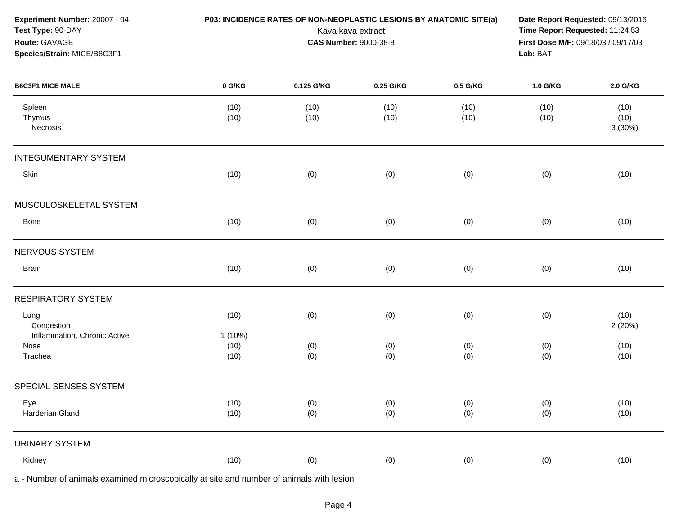| Experiment Number: 20007 - 04<br>Test Type: 90-DAY<br>Route: GAVAGE<br>Species/Strain: MICE/B6C3F1 |                   | P03: INCIDENCE RATES OF NON-NEOPLASTIC LESIONS BY ANATOMIC SITE(a)<br>Kava kava extract<br><b>CAS Number: 9000-38-8</b> | Date Report Requested: 09/13/2016<br>Time Report Requested: 11:24:53<br>First Dose M/F: 09/18/03 / 09/17/03<br>Lab: BAT |              |              |                        |
|----------------------------------------------------------------------------------------------------|-------------------|-------------------------------------------------------------------------------------------------------------------------|-------------------------------------------------------------------------------------------------------------------------|--------------|--------------|------------------------|
| <b>B6C3F1 MICE MALE</b>                                                                            | 0 G/KG            | 0.125 G/KG                                                                                                              | 0.25 G/KG                                                                                                               | 0.5 G/KG     | 1.0 G/KG     | 2.0 G/KG               |
| Spleen<br>Thymus<br>Necrosis                                                                       | (10)<br>(10)      | (10)<br>(10)                                                                                                            | (10)<br>(10)                                                                                                            | (10)<br>(10) | (10)<br>(10) | (10)<br>(10)<br>3(30%) |
| <b>INTEGUMENTARY SYSTEM</b>                                                                        |                   |                                                                                                                         |                                                                                                                         |              |              |                        |
| Skin                                                                                               | (10)              | (0)                                                                                                                     | (0)                                                                                                                     | (0)          | (0)          | (10)                   |
| MUSCULOSKELETAL SYSTEM                                                                             |                   |                                                                                                                         |                                                                                                                         |              |              |                        |
| Bone                                                                                               | (10)              | (0)                                                                                                                     | (0)                                                                                                                     | (0)          | (0)          | (10)                   |
| NERVOUS SYSTEM                                                                                     |                   |                                                                                                                         |                                                                                                                         |              |              |                        |
| <b>Brain</b>                                                                                       | (10)              | (0)                                                                                                                     | (0)                                                                                                                     | (0)          | (0)          | (10)                   |
| <b>RESPIRATORY SYSTEM</b>                                                                          |                   |                                                                                                                         |                                                                                                                         |              |              |                        |
| Lung<br>Congestion<br>Inflammation, Chronic Active                                                 | (10)<br>$1(10\%)$ | (0)                                                                                                                     | (0)                                                                                                                     | (0)          | (0)          | (10)<br>2 (20%)        |
| Nose<br>Trachea                                                                                    | (10)<br>(10)      | (0)<br>(0)                                                                                                              | (0)<br>(0)                                                                                                              | (0)<br>(0)   | (0)<br>(0)   | (10)<br>(10)           |
| SPECIAL SENSES SYSTEM                                                                              |                   |                                                                                                                         |                                                                                                                         |              |              |                        |
| Eye<br>Harderian Gland                                                                             | (10)<br>(10)      | (0)<br>(0)                                                                                                              | (0)<br>(0)                                                                                                              | (0)<br>(0)   | (0)<br>(0)   | (10)<br>(10)           |
| <b>URINARY SYSTEM</b>                                                                              |                   |                                                                                                                         |                                                                                                                         |              |              |                        |
| Kidney                                                                                             | (10)              | (0)                                                                                                                     | (0)                                                                                                                     | (0)          | (0)          | (10)                   |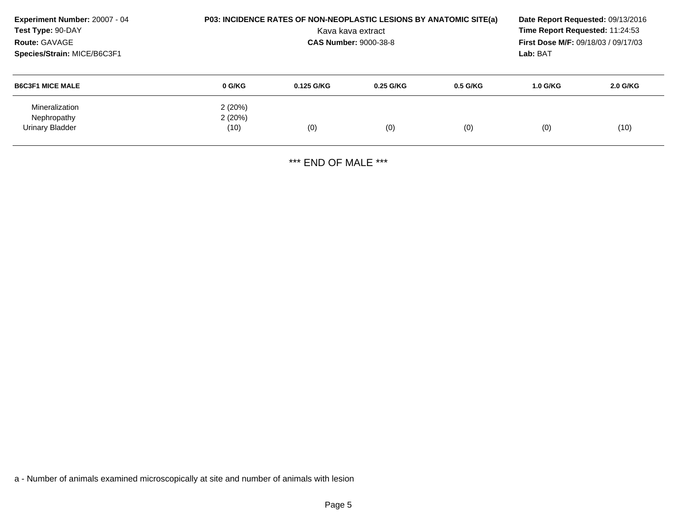| Experiment Number: 20007 - 04<br>Test Type: 90-DAY<br>Route: GAVAGE<br>Species/Strain: MICE/B6C3F1 |                          | <b>P03: INCIDENCE RATES OF NON-NEOPLASTIC LESIONS BY ANATOMIC SITE(a)</b><br>Date Report Requested: 09/13/2016<br>Time Report Requested: 11:24:53<br>Kava kava extract<br><b>First Dose M/F: 09/18/03 / 09/17/03</b><br><b>CAS Number: 9000-38-8</b><br>Lab: BAT |           |            |            |          |
|----------------------------------------------------------------------------------------------------|--------------------------|------------------------------------------------------------------------------------------------------------------------------------------------------------------------------------------------------------------------------------------------------------------|-----------|------------|------------|----------|
| <b>B6C3F1 MICE MALE</b>                                                                            | 0 G/KG                   | $0.125$ G/KG                                                                                                                                                                                                                                                     | 0.25 G/KG | $0.5$ G/KG | $1.0$ G/KG | 2.0 G/KG |
| Mineralization<br>Nephropathy<br>Urinary Bladder                                                   | 2(20%)<br>2(20%)<br>(10) | (0)                                                                                                                                                                                                                                                              | (0)       | (0)        | (0)        | (10)     |

\*\*\* END OF MALE \*\*\*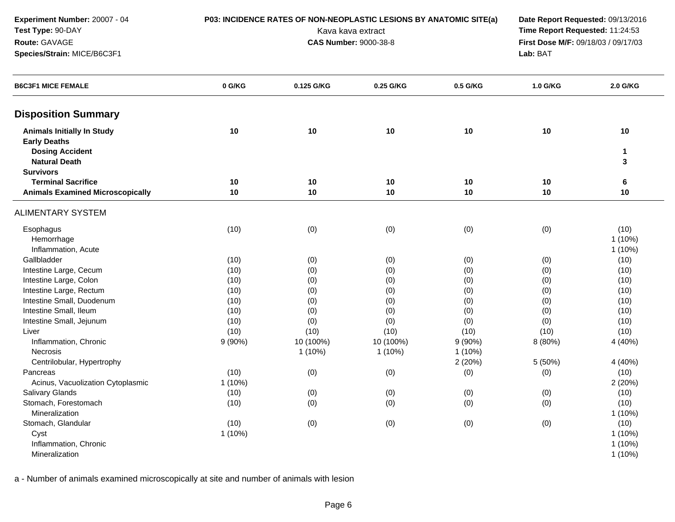| Experiment Number: 20007 - 04<br>Test Type: 90-DAY<br>Route: GAVAGE<br>Species/Strain: MICE/B6C3F1                             |           | P03: INCIDENCE RATES OF NON-NEOPLASTIC LESIONS BY ANATOMIC SITE(a)<br>Date Report Requested: 09/13/2016<br>Time Report Requested: 11:24:53<br>Kava kava extract<br>First Dose M/F: 09/18/03 / 09/17/03<br><b>CAS Number: 9000-38-8</b><br>Lab: BAT |           |           |          |                                |
|--------------------------------------------------------------------------------------------------------------------------------|-----------|----------------------------------------------------------------------------------------------------------------------------------------------------------------------------------------------------------------------------------------------------|-----------|-----------|----------|--------------------------------|
| <b>B6C3F1 MICE FEMALE</b>                                                                                                      | 0 G/KG    | 0.125 G/KG                                                                                                                                                                                                                                         | 0.25 G/KG | 0.5 G/KG  | 1.0 G/KG | 2.0 G/KG                       |
| <b>Disposition Summary</b>                                                                                                     |           |                                                                                                                                                                                                                                                    |           |           |          |                                |
| <b>Animals Initially In Study</b><br><b>Early Deaths</b><br><b>Dosing Accident</b><br><b>Natural Death</b><br><b>Survivors</b> | 10        | 10                                                                                                                                                                                                                                                 | 10        | 10        | 10       | 10<br>1<br>3                   |
| <b>Terminal Sacrifice</b>                                                                                                      | 10        | 10                                                                                                                                                                                                                                                 | 10        | 10        | 10       | 6                              |
| <b>Animals Examined Microscopically</b>                                                                                        | 10        | 10                                                                                                                                                                                                                                                 | 10        | 10        | 10       | 10                             |
| <b>ALIMENTARY SYSTEM</b>                                                                                                       |           |                                                                                                                                                                                                                                                    |           |           |          |                                |
| Esophagus<br>Hemorrhage<br>Inflammation, Acute                                                                                 | (10)      | (0)                                                                                                                                                                                                                                                | (0)       | (0)       | (0)      | (10)<br>$1(10\%)$<br>$1(10\%)$ |
| Gallbladder                                                                                                                    | (10)      | (0)                                                                                                                                                                                                                                                | (0)       | (0)       | (0)      | (10)                           |
| Intestine Large, Cecum                                                                                                         | (10)      | (0)                                                                                                                                                                                                                                                | (0)       | (0)       | (0)      | (10)                           |
| Intestine Large, Colon                                                                                                         | (10)      | (0)                                                                                                                                                                                                                                                | (0)       | (0)       | (0)      | (10)                           |
| Intestine Large, Rectum                                                                                                        | (10)      | (0)                                                                                                                                                                                                                                                | (0)       | (0)       | (0)      | (10)                           |
| Intestine Small, Duodenum                                                                                                      | (10)      | (0)                                                                                                                                                                                                                                                | (0)       | (0)       | (0)      | (10)                           |
| Intestine Small, Ileum                                                                                                         | (10)      | (0)                                                                                                                                                                                                                                                | (0)       | (0)       | (0)      | (10)                           |
| Intestine Small, Jejunum                                                                                                       | (10)      | (0)                                                                                                                                                                                                                                                | (0)       | (0)       | (0)      | (10)                           |
| Liver                                                                                                                          | (10)      | (10)                                                                                                                                                                                                                                               | (10)      | (10)      | (10)     | (10)                           |
| Inflammation, Chronic                                                                                                          | 9(90%)    | 10 (100%)                                                                                                                                                                                                                                          | 10 (100%) | 9(90%)    | 8 (80%)  | 4 (40%)                        |
| Necrosis                                                                                                                       |           | $1(10\%)$                                                                                                                                                                                                                                          | $1(10\%)$ | $1(10\%)$ |          |                                |
| Centrilobular, Hypertrophy                                                                                                     |           |                                                                                                                                                                                                                                                    |           | 2(20%)    | 5 (50%)  | 4 (40%)                        |
| Pancreas                                                                                                                       | (10)      | (0)                                                                                                                                                                                                                                                | (0)       | (0)       | (0)      | (10)                           |
| Acinus, Vacuolization Cytoplasmic                                                                                              | $1(10\%)$ |                                                                                                                                                                                                                                                    |           |           |          | 2(20%)                         |
| Salivary Glands                                                                                                                | (10)      | (0)                                                                                                                                                                                                                                                | (0)       | (0)       | (0)      | (10)                           |
| Stomach, Forestomach<br>Mineralization                                                                                         | (10)      | (0)                                                                                                                                                                                                                                                | (0)       | (0)       | (0)      | (10)<br>$1(10\%)$              |
| Stomach, Glandular                                                                                                             | (10)      | (0)                                                                                                                                                                                                                                                | (0)       | (0)       | (0)      | (10)                           |
| Cyst                                                                                                                           | 1(10%)    |                                                                                                                                                                                                                                                    |           |           |          | $1(10\%)$                      |
| Inflammation, Chronic                                                                                                          |           |                                                                                                                                                                                                                                                    |           |           |          | $1(10\%)$                      |
| Mineralization                                                                                                                 |           |                                                                                                                                                                                                                                                    |           |           |          | $1(10\%)$                      |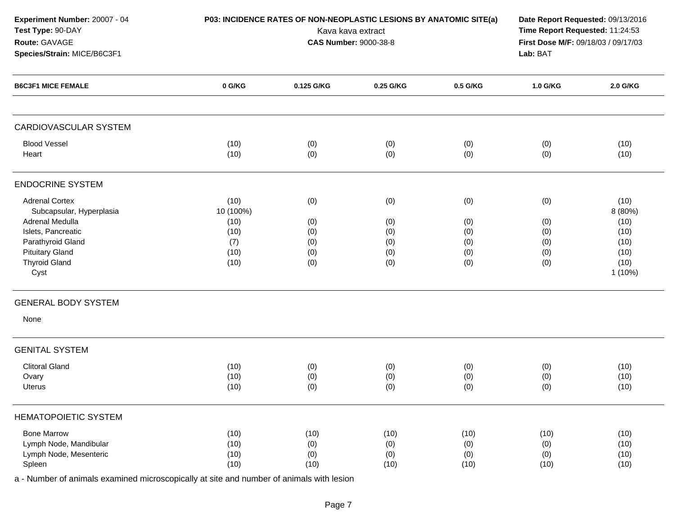| Experiment Number: 20007 - 04<br>Test Type: 90-DAY<br>Route: GAVAGE<br>Species/Strain: MICE/B6C3F1                                                                        | P03: INCIDENCE RATES OF NON-NEOPLASTIC LESIONS BY ANATOMIC SITE(a) | Date Report Requested: 09/13/2016<br>Time Report Requested: 11:24:53<br>First Dose M/F: 09/18/03 / 09/17/03<br>Lab: BAT |                                        |                                        |                                        |                                                                      |
|---------------------------------------------------------------------------------------------------------------------------------------------------------------------------|--------------------------------------------------------------------|-------------------------------------------------------------------------------------------------------------------------|----------------------------------------|----------------------------------------|----------------------------------------|----------------------------------------------------------------------|
| <b>B6C3F1 MICE FEMALE</b>                                                                                                                                                 | 0 G/KG                                                             | 0.125 G/KG                                                                                                              | 0.25 G/KG                              | 0.5 G/KG                               | 1.0 G/KG                               | 2.0 G/KG                                                             |
| <b>CARDIOVASCULAR SYSTEM</b>                                                                                                                                              |                                                                    |                                                                                                                         |                                        |                                        |                                        |                                                                      |
| <b>Blood Vessel</b><br>Heart                                                                                                                                              | (10)<br>(10)                                                       | (0)<br>(0)                                                                                                              | (0)<br>(0)                             | (0)<br>(0)                             | (0)<br>(0)                             | (10)<br>(10)                                                         |
| <b>ENDOCRINE SYSTEM</b>                                                                                                                                                   |                                                                    |                                                                                                                         |                                        |                                        |                                        |                                                                      |
| <b>Adrenal Cortex</b><br>Subcapsular, Hyperplasia<br>Adrenal Medulla<br>Islets, Pancreatic<br>Parathyroid Gland<br><b>Pituitary Gland</b><br><b>Thyroid Gland</b><br>Cyst | (10)<br>10 (100%)<br>(10)<br>(10)<br>(7)<br>(10)<br>(10)           | (0)<br>(0)<br>(0)<br>(0)<br>(0)<br>(0)                                                                                  | (0)<br>(0)<br>(0)<br>(0)<br>(0)<br>(0) | (0)<br>(0)<br>(0)<br>(0)<br>(0)<br>(0) | (0)<br>(0)<br>(0)<br>(0)<br>(0)<br>(0) | (10)<br>8 (80%)<br>(10)<br>(10)<br>(10)<br>(10)<br>(10)<br>$1(10\%)$ |
| <b>GENERAL BODY SYSTEM</b><br>None                                                                                                                                        |                                                                    |                                                                                                                         |                                        |                                        |                                        |                                                                      |
| <b>GENITAL SYSTEM</b>                                                                                                                                                     |                                                                    |                                                                                                                         |                                        |                                        |                                        |                                                                      |
| <b>Clitoral Gland</b><br>Ovary<br>Uterus                                                                                                                                  | (10)<br>(10)<br>(10)                                               | (0)<br>(0)<br>(0)                                                                                                       | (0)<br>(0)<br>(0)                      | (0)<br>(0)<br>(0)                      | (0)<br>(0)<br>(0)                      | (10)<br>(10)<br>(10)                                                 |
| <b>HEMATOPOIETIC SYSTEM</b>                                                                                                                                               |                                                                    |                                                                                                                         |                                        |                                        |                                        |                                                                      |
| <b>Bone Marrow</b><br>Lymph Node, Mandibular<br>Lymph Node, Mesenteric<br>Spleen                                                                                          | (10)<br>(10)<br>(10)<br>(10)                                       | (10)<br>(0)<br>(0)<br>(10)                                                                                              | (10)<br>(0)<br>(0)<br>(10)             | (10)<br>(0)<br>(0)<br>(10)             | (10)<br>(0)<br>(0)<br>(10)             | (10)<br>(10)<br>(10)<br>(10)                                         |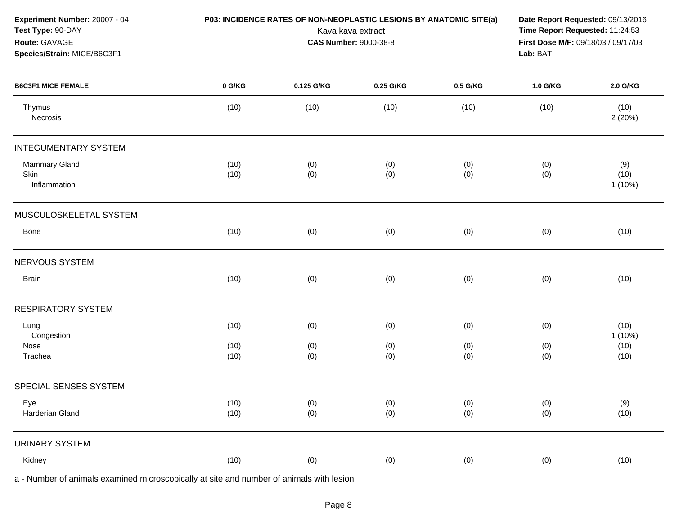| Experiment Number: 20007 - 04<br>Test Type: 90-DAY<br>Route: GAVAGE<br>Species/Strain: MICE/B6C3F1 | P03: INCIDENCE RATES OF NON-NEOPLASTIC LESIONS BY ANATOMIC SITE(a) | Date Report Requested: 09/13/2016<br>Time Report Requested: 11:24:53<br>First Dose M/F: 09/18/03 / 09/17/03<br>Lab: BAT |            |            |            |                          |
|----------------------------------------------------------------------------------------------------|--------------------------------------------------------------------|-------------------------------------------------------------------------------------------------------------------------|------------|------------|------------|--------------------------|
| <b>B6C3F1 MICE FEMALE</b>                                                                          | 0 G/KG                                                             | 0.125 G/KG                                                                                                              | 0.25 G/KG  | 0.5 G/KG   | 1.0 G/KG   | 2.0 G/KG                 |
| Thymus<br>Necrosis                                                                                 | (10)                                                               | (10)                                                                                                                    | (10)       | (10)       | (10)       | (10)<br>2(20%)           |
| <b>INTEGUMENTARY SYSTEM</b>                                                                        |                                                                    |                                                                                                                         |            |            |            |                          |
| <b>Mammary Gland</b><br>Skin<br>Inflammation                                                       | (10)<br>(10)                                                       | (0)<br>(0)                                                                                                              | (0)<br>(0) | (0)<br>(0) | (0)<br>(0) | (9)<br>(10)<br>$1(10\%)$ |
| MUSCULOSKELETAL SYSTEM                                                                             |                                                                    |                                                                                                                         |            |            |            |                          |
| Bone                                                                                               | (10)                                                               | (0)                                                                                                                     | (0)        | (0)        | (0)        | (10)                     |
| NERVOUS SYSTEM                                                                                     |                                                                    |                                                                                                                         |            |            |            |                          |
| <b>Brain</b>                                                                                       | (10)                                                               | (0)                                                                                                                     | (0)        | (0)        | (0)        | (10)                     |
| <b>RESPIRATORY SYSTEM</b>                                                                          |                                                                    |                                                                                                                         |            |            |            |                          |
| Lung<br>Congestion                                                                                 | (10)                                                               | (0)                                                                                                                     | (0)        | (0)        | (0)        | (10)<br>$1(10\%)$        |
| Nose<br>Trachea                                                                                    | (10)<br>(10)                                                       | (0)<br>(0)                                                                                                              | (0)<br>(0) | (0)<br>(0) | (0)<br>(0) | (10)<br>(10)             |
| SPECIAL SENSES SYSTEM                                                                              |                                                                    |                                                                                                                         |            |            |            |                          |
| Eye<br>Harderian Gland                                                                             | (10)<br>(10)                                                       | (0)<br>(0)                                                                                                              | (0)<br>(0) | (0)<br>(0) | (0)<br>(0) | (9)<br>(10)              |
| <b>URINARY SYSTEM</b>                                                                              |                                                                    |                                                                                                                         |            |            |            |                          |
| Kidney                                                                                             | (10)                                                               | (0)                                                                                                                     | (0)        | (0)        | (0)        | (10)                     |